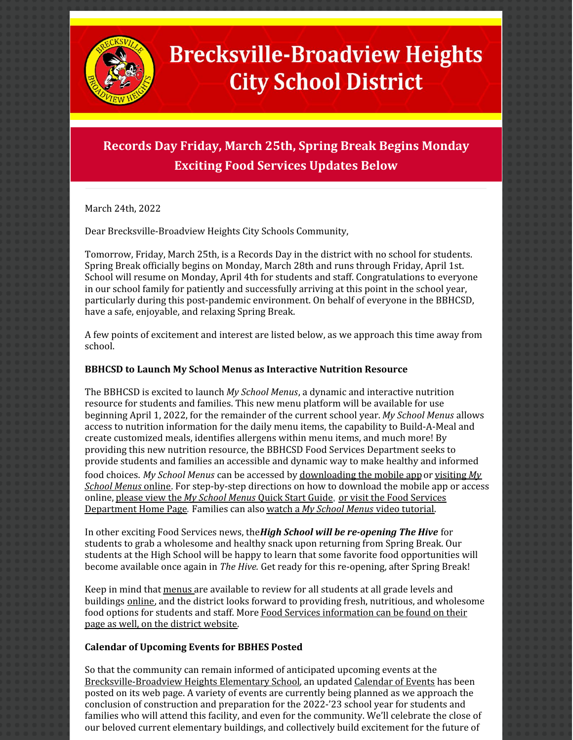

## **Brecksville-Broadview Heights City School District**

## **Records Day Friday, March 25th, Spring Break Begins Monday Exciting Food Services Updates Below**

March 24th, 2022

Dear Brecksville-Broadview Heights City Schools Community,

Tomorrow, Friday, March 25th, is a Records Day in the district with no school for students. Spring Break officially begins on Monday, March 28th and runs through Friday, April 1st. School will resume on Monday, April 4th for students and staff. Congratulations to everyone in our school family for patiently and successfully arriving at this point in the school year, particularly during this post-pandemic environment. On behalf of everyone in the BBHCSD, have a safe, enjoyable, and relaxing Spring Break.

A few points of excitement and interest are listed below, as we approach this time away from school.

## **BBHCSD to Launch My School Menus as Interactive Nutrition Resource**

The BBHCSD is excited to launch *My School Menus*, a dynamic and interactive nutrition resource for students and families. This new menu platform will be available for use beginning April 1, 2022, for the remainder of the current school year. *My School Menus* allows access to nutrition information for the daily menu items, the capability to Build-A-Meal and create customized meals, identifies allergens within menu items, and much more! By providing this new nutrition resource, the BBHCSD Food Services Department seeks to provide students and families an accessible and dynamic way to make healthy and informed food choices. *My School Menus* can be accessed by [downloading](https://filecabinet5.eschoolview.com/99F81E32-1C54-4E91-869F-0ABFEA6CF55F/89838cb6-6578-475c-92a1-d676abc6a9ec.pdf) the mobile appor [visiting](https://www.myschoolmenus.com/) *My School Menus* [online](https://www.myschoolmenus.com/). For step-by-step directions on how to download the mobile app or access online, [please](https://filecabinet5.eschoolview.com/99F81E32-1C54-4E91-869F-0ABFEA6CF55F/9515d210-6bdd-4ffc-82f1-b96311843de8.pdf) view the *My [School](https://filecabinet5.eschoolview.com/99F81E32-1C54-4E91-869F-0ABFEA6CF55F/9515d210-6bdd-4ffc-82f1-b96311843de8.pdf) Menus* [Quick](https://filecabinet5.eschoolview.com/99F81E32-1C54-4E91-869F-0ABFEA6CF55F/9515d210-6bdd-4ffc-82f1-b96311843de8.pdf) Start Guide, or visit the Food Services [Department](https://www.bbhcsd.org/FoodServices.aspx) Home Page. Families can also [watch](https://www.loom.com/share/c60d31e0c95a4ef9825ee92a6df09d0f) a *My [School](https://www.loom.com/share/c60d31e0c95a4ef9825ee92a6df09d0f) Menus* video [tutorial](https://www.loom.com/share/c60d31e0c95a4ef9825ee92a6df09d0f).

In other exciting Food Services news, the*High School will be re-opening The Hive* for students to grab a wholesome and healthy snack upon returning from Spring Break. Our students at the High School will be happy to learn that some favorite food opportunities will become available once again in *The Hive.* Get ready for this re-opening, after Spring Break!

Keep in mind that [menus](https://www.bbhcsd.org/Menus.aspx) are available to review for all students at all grade levels and buildings [online](https://www.bbhcsd.org/Menus.aspx), and the district looks forward to providing fresh, nutritious, and wholesome food options for students and staff. More Food Services [information](https://www.bbhcsd.org/FoodServices.aspx) can be found on their page as well, on the district website.

## **Calendar of Upcoming Events for BBHES Posted**

So that the community can remain informed of anticipated upcoming events at the [Brecksville-Broadview](https://www.bbhcsd.org/PreK-5FacilityInformation.aspx) Heights Elementary School, an updated [Calendar](https://www.bbhcsd.org/PreK-5FacilityInformation.aspx) of Events has been posted on its web page. A variety of events are currently being planned as we approach the conclusion of construction and preparation for the 2022-'23 school year for students and families who will attend this facility, and even for the community. We'll celebrate the close of our beloved current elementary buildings, and collectively build excitement for the future of